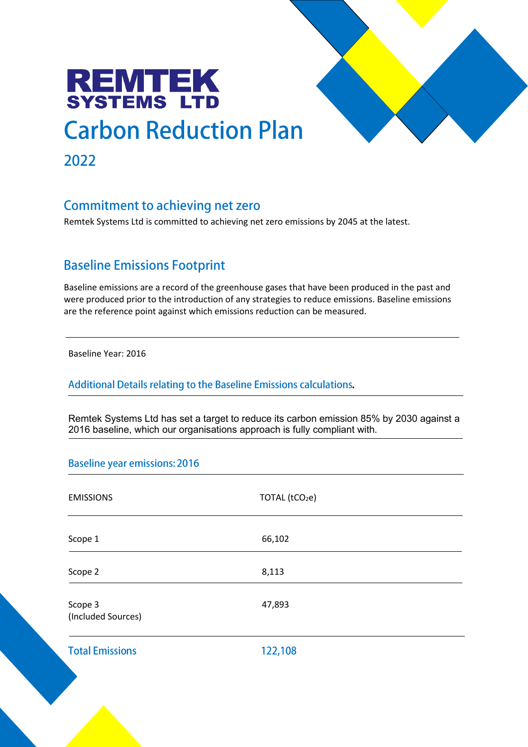# **REMTEK**<br>SYSTEMS LTD **Carbon Reduction Plan** 2022

## **Commitment to achieving net zero**

Remtek Systems Ltd is committed to achieving net zero emissions by 2045 at the latest.

# **Baseline Emissions Footprint**

Baseline emissions are a record of the greenhouse gases that have been produced in the past and were produced prior to the introduction of any strategies to reduce emissions. Baseline emissions are the reference point against which emissions reduction can be measured.

Baseline Year: 2016

Additional Details relating to the Baseline Emissions calculations.

Remtek Systems Ltd has set a target to reduce its carbon emission 85% by 2030 against a 2016 baseline, which our organisations approach is fully compliant with.

#### **Baseline year emissions: 2016**

| <b>EMISSIONS</b>              | TOTAL (tCO <sub>2</sub> e) |  |
|-------------------------------|----------------------------|--|
| Scope 1                       | 66,102                     |  |
| Scope 2                       | 8,113                      |  |
| Scope 3<br>(Included Sources) | 47,893                     |  |
| <b>Total Emissions</b>        | 122,108                    |  |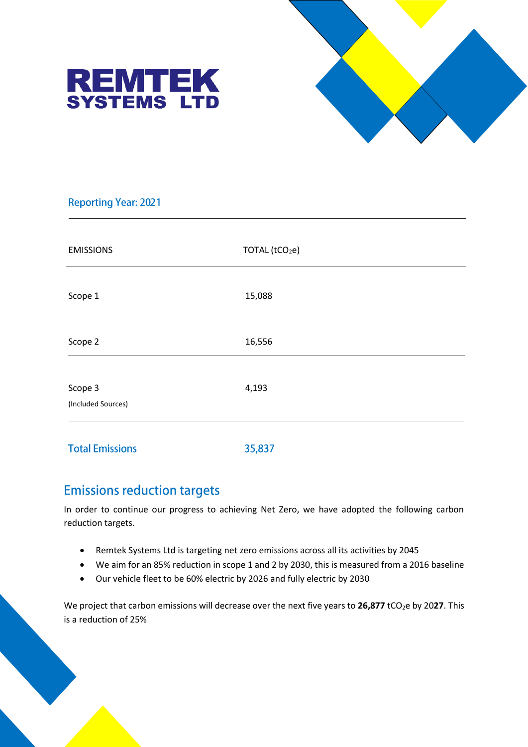



#### **Reporting Year: 2021**

| <b>EMISSIONS</b>              | TOTAL (tCO <sub>2</sub> e) |
|-------------------------------|----------------------------|
| Scope 1                       | 15,088                     |
| Scope 2                       | 16,556                     |
| Scope 3<br>(Included Sources) | 4,193                      |
|                               |                            |

**Total Emissions** 35,837

## **Emissions reduction targets**

In order to continue our progress to achieving Net Zero, we have adopted the following carbon reduction targets.

- Remtek Systems Ltd is targeting net zero emissions across all its activities by 2045
- We aim for an 85% reduction in scope 1 and 2 by 2030, this is measured from a 2016 baseline
- Our vehicle fleet to be 60% electric by 2026 and fully electric by 2030

We project that carbon emissions will decrease over the next five years to 26,877 tCO<sub>2</sub>e by 2027. This is a reduction of 25%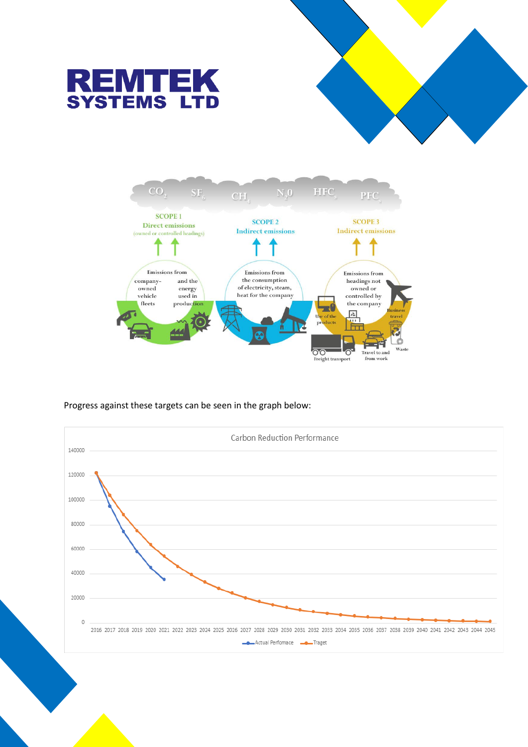



Progress against these targets can be seen in the graph below:

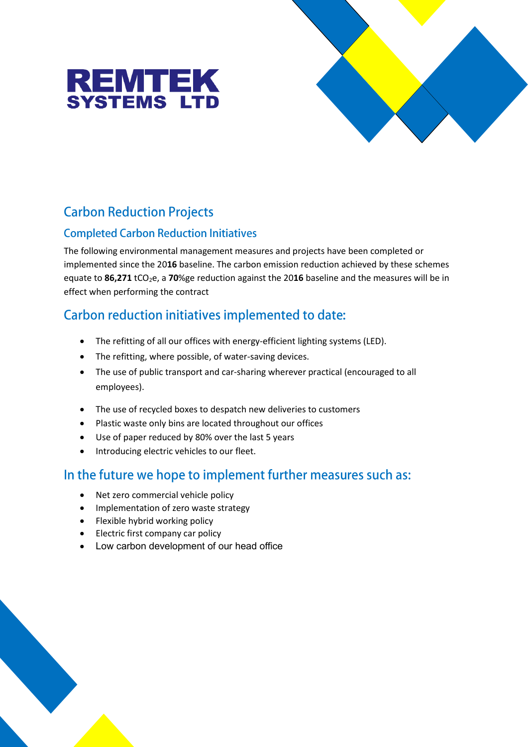



# **Carbon Reduction Projects**

### **Completed Carbon Reduction Initiatives**

The following environmental management measures and projects have been completed or implemented since the 20**16** baseline. The carbon emission reduction achieved by these schemes equate to 86,271 tCO<sub>2</sub>e, a 70%ge reduction against the 2016 baseline and the measures will be in effect when performing the contract

# Carbon reduction initiatives implemented to date:

- The refitting of all our offices with energy-efficient lighting systems (LED).
- The refitting, where possible, of water-saving devices.
- The use of public transport and car-sharing wherever practical (encouraged to all employees).
- The use of recycled boxes to despatch new deliveries to customers
- Plastic waste only bins are located throughout our offices
- Use of paper reduced by 80% over the last 5 years
- $\bullet$  Introducing electric vehicles to our fleet.

# In the future we hope to implement further measures such as:

- Net zero commercial vehicle policy
- Implementation of zero waste strategy
- Flexible hybrid working policy
- Electric first company car policy
- Low carbon development of our head office